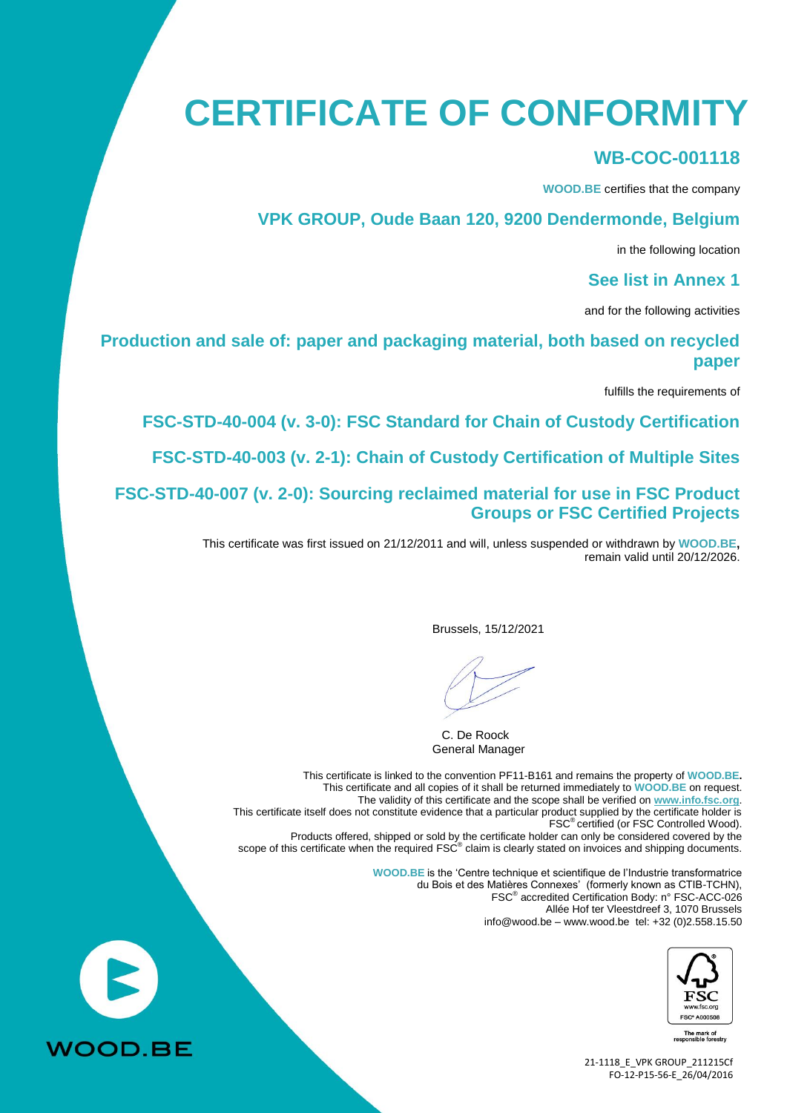# **CERTIFICATE OF CONFORMITY**

#### **WB-COC-001118**

**WOOD.BE** certifies that the company

#### **VPK GROUP, Oude Baan 120, 9200 Dendermonde, Belgium**

in the following location

#### **See list in Annex 1**

and for the following activities

#### **Production and sale of: paper and packaging material, both based on recycled paper**

fulfills the requirements of

**FSC-STD-40-004 (v. 3-0): FSC Standard for Chain of Custody Certification**

**FSC-STD-40-003 (v. 2-1): Chain of Custody Certification of Multiple Sites**

**FSC-STD-40-007 (v. 2-0): Sourcing reclaimed material for use in FSC Product Groups or FSC Certified Projects**

> This certificate was first issued on 21/12/2011 and will, unless suspended or withdrawn by **WOOD.BE,** remain valid until 20/12/2026.

> > Brussels, 15/12/2021

C. De Roock General Manager

This certificate is linked to the convention PF11-B161 and remains the property of **WOOD.BE.** This certificate and all copies of it shall be returned immediately to **WOOD.BE** on request. The validity of this certificate and the scope shall be verified on **[www.info.fsc.org](http://www.info.fsc.org/)**. This certificate itself does not constitute evidence that a particular product supplied by the certificate holder is FSC® certified (or FSC Controlled Wood). Products offered, shipped or sold by the certificate holder can only be considered covered by the scope of this certificate when the required FSC<sup>®</sup> claim is clearly stated on invoices and shipping documents. **WOOD.BE** is the 'Centre technique et scientifique de l'Industrie transformatrice

du Bois et des Matières Connexes' (formerly known as CTIB-TCHN), FSC® accredited Certification Body: n° FSC-ACC-026 Allée Hof ter Vleestdreef 3, 1070 Brussels info@wood.be – [www.wood.be](http://www.wood.be/) tel: +32 (0)2.558.15.50



The mark of<br>ponsible forestry

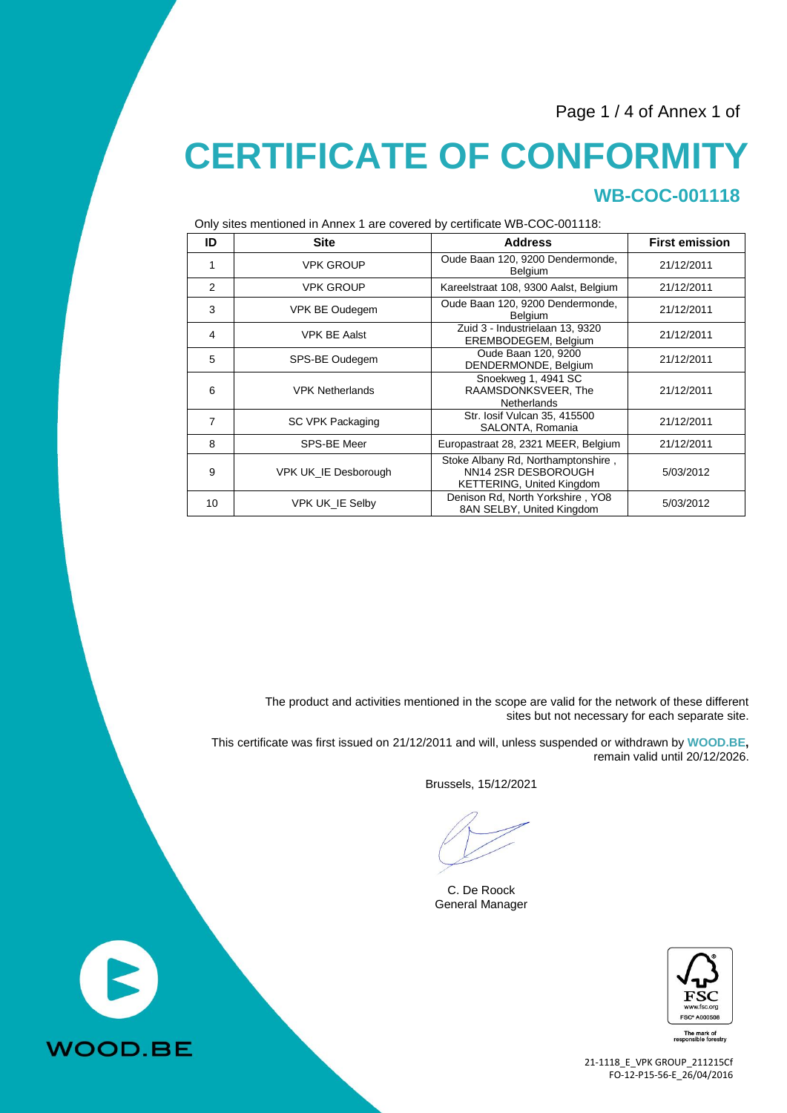Page 1 / 4 of Annex 1 of

### **CERTIFICATE OF CONFORMITY WB-COC-001118**

Only sites mentioned in Annex 1 are covered by certificate WB-COC-001118:

| ID             | <b>Site</b>                 | <b>Address</b>                                                                                | <b>First emission</b> |
|----------------|-----------------------------|-----------------------------------------------------------------------------------------------|-----------------------|
| 1              | <b>VPK GROUP</b>            | Oude Baan 120, 9200 Dendermonde,<br>Belgium                                                   | 21/12/2011            |
| 2              | <b>VPK GROUP</b>            | Kareelstraat 108, 9300 Aalst, Belgium                                                         | 21/12/2011            |
| 3              | VPK BE Oudegem              | Oude Baan 120, 9200 Dendermonde,<br><b>Belgium</b>                                            | 21/12/2011            |
| $\overline{4}$ | <b>VPK BE Aalst</b>         | Zuid 3 - Industrielaan 13, 9320<br>EREMBODEGEM, Belgium                                       | 21/12/2011            |
| 5              | SPS-BE Oudegem              | Oude Baan 120, 9200<br>DENDERMONDE, Belgium                                                   | 21/12/2011            |
| 6              | <b>VPK Netherlands</b>      | Snoekweg 1, 4941 SC<br>RAAMSDONKSVEER, The<br><b>Netherlands</b>                              | 21/12/2011            |
| 7              | SC VPK Packaging            | Str. losif Vulcan 35, 415500<br>SALONTA, Romania                                              | 21/12/2011            |
| 8              | SPS-BE Meer                 | Europastraat 28, 2321 MEER, Belgium                                                           | 21/12/2011            |
| 9              | <b>VPK UK IE Desborough</b> | Stoke Albany Rd, Northamptonshire,<br>NN14 2SR DESBOROUGH<br><b>KETTERING, United Kingdom</b> | 5/03/2012             |
| 10             | VPK UK_IE Selby             | Denison Rd, North Yorkshire, YO8<br>8AN SELBY, United Kingdom                                 | 5/03/2012             |

The product and activities mentioned in the scope are valid for the network of these different sites but not necessary for each separate site.

This certificate was first issued on 21/12/2011 and will, unless suspended or withdrawn by **WOOD.BE,** remain valid until 20/12/2026.

Brussels, 15/12/2021

C. De Roock General Manager



The mark of<br>asponsible forestry

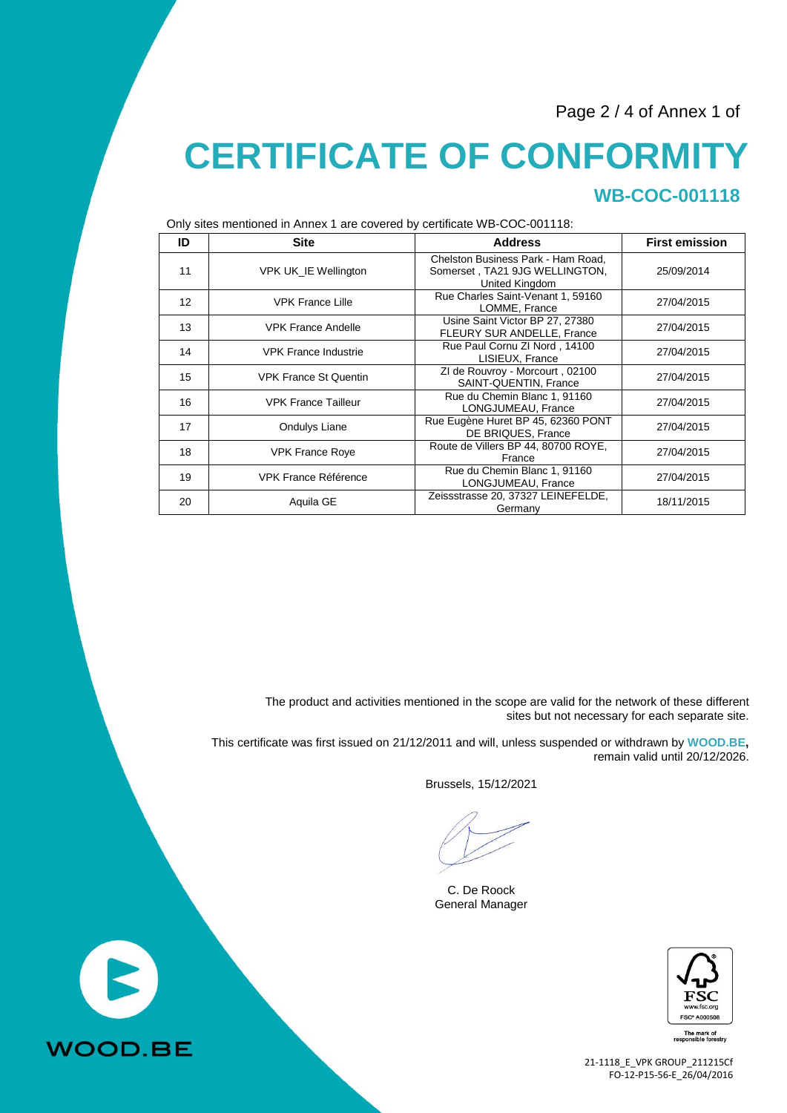Page 2 / 4 of Annex 1 of

# **CERTIFICATE OF CONFORMITY WB-COC-001118**

| $\ldots$          |                              |                                                                                        |                       |  |
|-------------------|------------------------------|----------------------------------------------------------------------------------------|-----------------------|--|
| ID                | <b>Site</b>                  | <b>Address</b>                                                                         | <b>First emission</b> |  |
| 11                | VPK UK_IE Wellington         | Chelston Business Park - Ham Road,<br>Somerset, TA21 9JG WELLINGTON,<br>United Kingdom | 25/09/2014            |  |
| $12 \overline{ }$ | <b>VPK France Lille</b>      | Rue Charles Saint-Venant 1, 59160<br>LOMME, France                                     | 27/04/2015            |  |
| 13                | <b>VPK France Andelle</b>    | Usine Saint Victor BP 27, 27380<br>FLEURY SUR ANDELLE, France                          | 27/04/2015            |  |
| 14                | <b>VPK France Industrie</b>  | Rue Paul Cornu ZI Nord, 14100<br>LISIEUX, France                                       | 27/04/2015            |  |
| 15                | <b>VPK France St Quentin</b> | ZI de Rouvroy - Morcourt, 02100<br>SAINT-QUENTIN, France                               | 27/04/2015            |  |
| 16                | <b>VPK France Tailleur</b>   | Rue du Chemin Blanc 1, 91160<br>LONGJUMEAU, France                                     | 27/04/2015            |  |
| 17                | Ondulys Liane                | Rue Eugène Huret BP 45, 62360 PONT<br>DE BRIQUES, France                               | 27/04/2015            |  |
| 18                | <b>VPK France Roye</b>       | Route de Villers BP 44, 80700 ROYE,<br>France                                          | 27/04/2015            |  |
| 19                | <b>VPK France Référence</b>  | Rue du Chemin Blanc 1, 91160<br>LONGJUMEAU, France                                     | 27/04/2015            |  |
| 20                | Aquila GE                    | Zeissstrasse 20, 37327 LEINEFELDE,<br>Germany                                          | 18/11/2015            |  |

Only sites mentioned in Annex 1 are covered by certificate WB-COC-001118:

The product and activities mentioned in the scope are valid for the network of these different sites but not necessary for each separate site.

This certificate was first issued on 21/12/2011 and will, unless suspended or withdrawn by **WOOD.BE,** remain valid until 20/12/2026.

Brussels, 15/12/2021

C. De Roock General Manager



The mark of<br>asponsible forestry

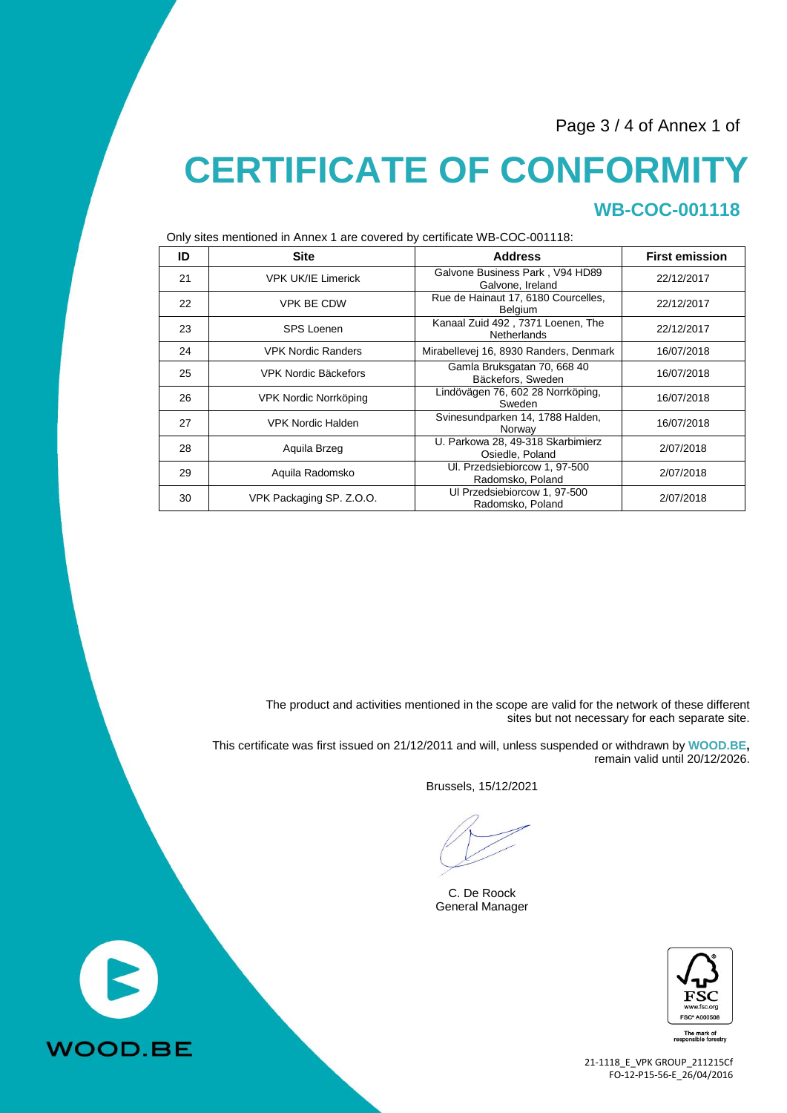Page 3 / 4 of Annex 1 of

# **CERTIFICATE OF CONFORMITY WB-COC-001118**

Only sites mentioned in Annex 1 are covered by certificate WB-COC-001118:

| $\sim$ . The momentum is a move that $\sim$ . The second $\sim$ , commodial that $\sim$ and $\sim$ . |                           |                                                         |                       |  |
|------------------------------------------------------------------------------------------------------|---------------------------|---------------------------------------------------------|-----------------------|--|
| ID                                                                                                   | <b>Site</b>               | <b>Address</b>                                          | <b>First emission</b> |  |
| 21                                                                                                   | <b>VPK UK/IE Limerick</b> | Galvone Business Park, V94 HD89<br>Galvone, Ireland     | 22/12/2017            |  |
| 22                                                                                                   | <b>VPK BE CDW</b>         | Rue de Hainaut 17, 6180 Courcelles,<br><b>Belgium</b>   | 22/12/2017            |  |
| 23                                                                                                   | <b>SPS Loenen</b>         | Kanaal Zuid 492, 7371 Loenen, The<br><b>Netherlands</b> | 22/12/2017            |  |
| 24                                                                                                   | <b>VPK Nordic Randers</b> | Mirabellevej 16, 8930 Randers, Denmark                  | 16/07/2018            |  |
| 25                                                                                                   | VPK Nordic Bäckefors      | Gamla Bruksgatan 70, 668 40<br>Bäckefors, Sweden        | 16/07/2018            |  |
| 26                                                                                                   | VPK Nordic Norrköping     | Lindövägen 76, 602 28 Norrköping,<br>Sweden             | 16/07/2018            |  |
| 27                                                                                                   | <b>VPK Nordic Halden</b>  | Svinesundparken 14, 1788 Halden,<br>Norway              | 16/07/2018            |  |
| 28                                                                                                   | Aquila Brzeg              | U. Parkowa 28, 49-318 Skarbimierz<br>Osiedle, Poland    | 2/07/2018             |  |
| 29                                                                                                   | Aquila Radomsko           | UI. Przedsiebiorcow 1, 97-500<br>Radomsko, Poland       | 2/07/2018             |  |
| 30                                                                                                   | VPK Packaging SP. Z.O.O.  | Ul Przedsiebiorcow 1, 97-500<br>Radomsko, Poland        | 2/07/2018             |  |

The product and activities mentioned in the scope are valid for the network of these different sites but not necessary for each separate site.

This certificate was first issued on 21/12/2011 and will, unless suspended or withdrawn by **WOOD.BE,** remain valid until 20/12/2026.

Brussels, 15/12/2021

C. De Roock General Manager



The mark of<br>esponsible forestry